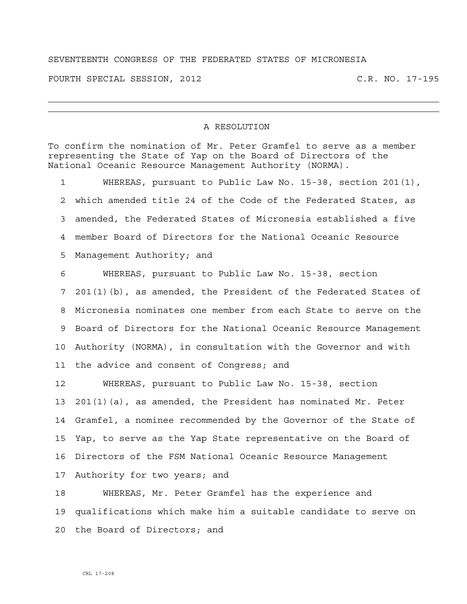## SEVENTEENTH CONGRESS OF THE FEDERATED STATES OF MICRONESIA

FOURTH SPECIAL SESSION, 2012 C.R. NO. 17-195

## A RESOLUTION

To confirm the nomination of Mr. Peter Gramfel to serve as a member representing the State of Yap on the Board of Directors of the National Oceanic Resource Management Authority (NORMA).

1 WHEREAS, pursuant to Public Law No. 15-38, section 201(1), 2 which amended title 24 of the Code of the Federated States, as 3 amended, the Federated States of Micronesia established a five 4 member Board of Directors for the National Oceanic Resource 5 Management Authority; and

6 WHEREAS, pursuant to Public Law No. 15-38, section 7 201(1)(b), as amended, the President of the Federated States of 8 Micronesia nominates one member from each State to serve on the 9 Board of Directors for the National Oceanic Resource Management 10 Authority (NORMA), in consultation with the Governor and with 11 the advice and consent of Congress; and

12 WHEREAS, pursuant to Public Law No. 15-38, section 13 201(1)(a), as amended, the President has nominated Mr. Peter 14 Gramfel, a nominee recommended by the Governor of the State of 15 Yap, to serve as the Yap State representative on the Board of 16 Directors of the FSM National Oceanic Resource Management 17 Authority for two years; and

18 WHEREAS, Mr. Peter Gramfel has the experience and 19 qualifications which make him a suitable candidate to serve on 20 the Board of Directors; and